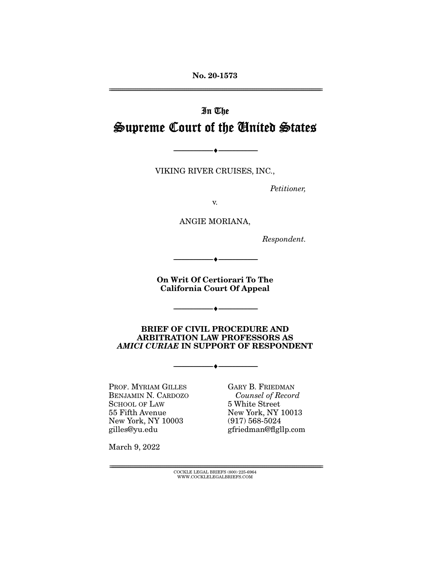**No. 20-1573**  ================================================================================================================

# In The Supreme Court of the United States

VIKING RIVER CRUISES, INC.,

--------------------------------- ♦ ---------------------------------

Petitioner,

v.

ANGIE MORIANA,

Respondent.

**On Writ Of Certiorari To The California Court Of Appeal** 

--------------------------------- ♦ ---------------------------------

--------------------------------- ♦ ---------------------------------

#### **BRIEF OF CIVIL PROCEDURE AND ARBITRATION LAW PROFESSORS AS**  *AMICI CURIAE* **IN SUPPORT OF RESPONDENT**

--------------------------------- ♦ ---------------------------------

PROF. MYRIAM GILLES BENJAMIN N. CARDOZO SCHOOL OF LAW 55 Fifth Avenue New York, NY 10003 gilles@yu.edu

GARY B. FRIEDMAN Counsel of Record 5 White Street New York, NY 10013 (917) 568-5024 gfriedman@flgllp.com

March 9, 2022

 $\text{COCKLE LEGAL BRIEFS}$  (800) 225-6964 WWW.COCKLELEGALBRIEFS.COM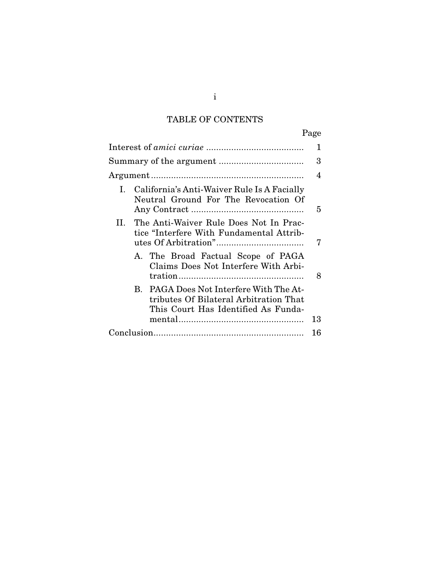# TABLE OF CONTENTS

|                                                                                                                          | Page |
|--------------------------------------------------------------------------------------------------------------------------|------|
|                                                                                                                          | 1    |
|                                                                                                                          | 3    |
|                                                                                                                          | 4    |
| California's Anti-Waiver Rule Is A Facially<br>I.<br>Neutral Ground For The Revocation Of                                | 5    |
| II. The Anti-Waiver Rule Does Not In Prac-<br>tice "Interfere With Fundamental Attrib-                                   |      |
| A. The Broad Factual Scope of PAGA<br>Claims Does Not Interfere With Arbi-                                               | 8    |
| B. PAGA Does Not Interfere With The At-<br>tributes Of Bilateral Arbitration That<br>This Court Has Identified As Funda- |      |
|                                                                                                                          | 13   |
|                                                                                                                          | 16   |

i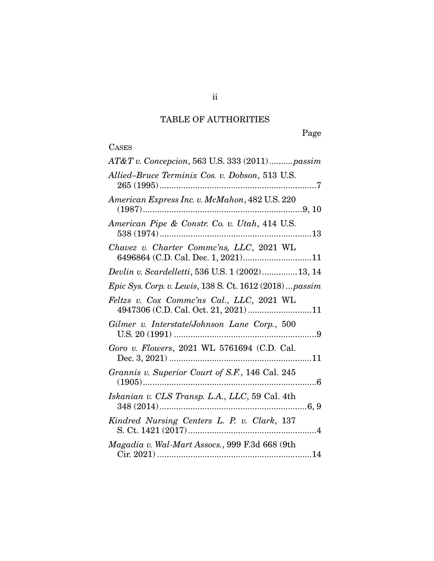# TABLE OF AUTHORITIES

# **CASES**

| AT&T v. Concepcion, 563 U.S. 333 (2011)passim                                     |
|-----------------------------------------------------------------------------------|
| Allied-Bruce Terminix Cos. v. Dobson, 513 U.S.                                    |
| American Express Inc. v. McMahon, 482 U.S. 220                                    |
| American Pipe & Constr. Co. v. Utah, 414 U.S.                                     |
| Chavez v. Charter Commc'ns, LLC, 2021 WL<br>6496864 (C.D. Cal. Dec. 1, 2021)11    |
| Devlin v. Scardelletti, 536 U.S. 1 (2002) 13, 14                                  |
| Epic Sys. Corp. v. Lewis, 138 S. Ct. 1612 (2018)  passim                          |
| Feltzs v. Cox Commc'ns Cal., LLC, 2021 WL<br>4947306 (C.D. Cal. Oct. 21, 2021) 11 |
| Gilmer v. Interstate/Johnson Lane Corp., 500                                      |
| Goro v. Flowers, 2021 WL 5761694 (C.D. Cal.                                       |
| Grannis v. Superior Court of S.F., 146 Cal. 245                                   |
| Iskanian v. CLS Transp. L.A., LLC, 59 Cal. 4th                                    |
| Kindred Nursing Centers L. P. v. Clark, 137                                       |
| Magadia v. Wal-Mart Assocs., 999 F.3d 668 (9th                                    |
|                                                                                   |

ii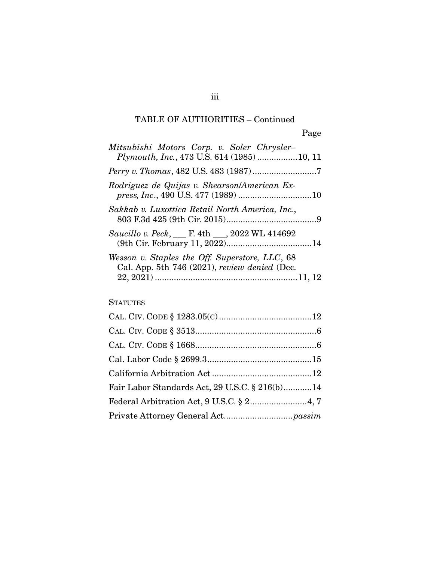## TABLE OF AUTHORITIES – Continued

| Mitsubishi Motors Corp. v. Soler Chrysler-<br>Plymouth, Inc., 473 U.S. 614 (1985) 10, 11        |  |
|-------------------------------------------------------------------------------------------------|--|
|                                                                                                 |  |
| Rodriguez de Quijas v. Shearson/American Ex-                                                    |  |
| Sakkab v. Luxottica Retail North America, Inc.,                                                 |  |
| Saucillo v. Peck, __ F. 4th __, 2022 WL 414692                                                  |  |
| Wesson v. Staples the Off. Superstore, LLC, 68<br>Cal. App. 5th 746 (2021), review denied (Dec. |  |

### **STATUTES**

| Fair Labor Standards Act, 29 U.S.C. § 216(b)14 |  |
|------------------------------------------------|--|
|                                                |  |
|                                                |  |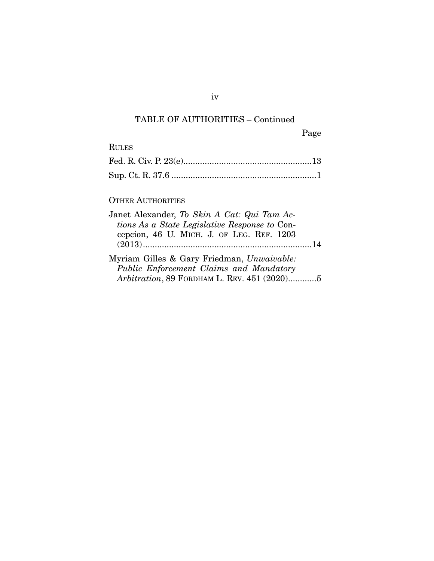## TABLE OF AUTHORITIES – Continued

iv

Page

## OTHER AUTHORITIES

| Janet Alexander, To Skin A Cat: Qui Tam Ac-   |  |
|-----------------------------------------------|--|
| tions As a State Legislative Response to Con- |  |
| cepcion, 46 U. MICH. J. OF LEG. REF. 1203     |  |
|                                               |  |
| Myriam Gilles & Gary Friedman, Unwaivable:    |  |
| Public Enforcement Claims and Mandatory       |  |
| Arbitration, 89 FORDHAM L. REV. 451 (2020)5   |  |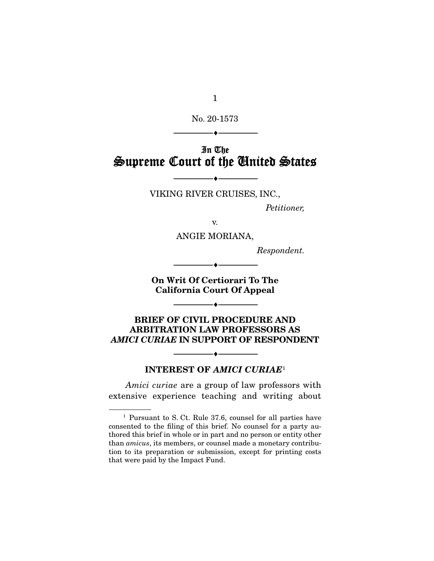1

No. 20-1573

--------------------------------- ♦ ---------------------------------

# In The Supreme Court of the United States

VIKING RIVER CRUISES, INC.,

--------------------------------- ♦ ---------------------------------

Petitioner,

v.

ANGIE MORIANA,

Respondent.

**On Writ Of Certiorari To The California Court Of Appeal** 

 $\overbrace{\hspace{2.5cm}... \hspace{2.7cm}}$ 

--------------------------------- ♦ ---------------------------------

**BRIEF OF CIVIL PROCEDURE AND ARBITRATION LAW PROFESSORS AS**  *AMICI CURIAE* **IN SUPPORT OF RESPONDENT** 

#### **INTEREST OF** *AMICI CURIAE*<sup>1</sup>

--------------------------------- ♦ ---------------------------------

Amici curiae are a group of law professors with extensive experience teaching and writing about

<sup>1</sup> Pursuant to S. Ct. Rule 37.6, counsel for all parties have consented to the filing of this brief. No counsel for a party authored this brief in whole or in part and no person or entity other than amicus, its members, or counsel made a monetary contribution to its preparation or submission, except for printing costs that were paid by the Impact Fund.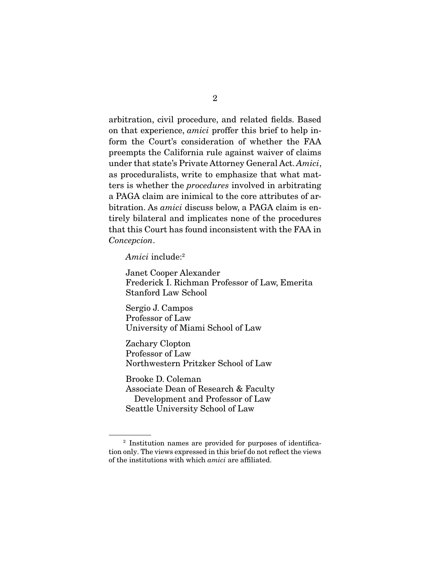arbitration, civil procedure, and related fields. Based on that experience, amici proffer this brief to help inform the Court's consideration of whether the FAA preempts the California rule against waiver of claims under that state's Private Attorney General Act. Amici, as proceduralists, write to emphasize that what matters is whether the procedures involved in arbitrating a PAGA claim are inimical to the core attributes of arbitration. As amici discuss below, a PAGA claim is entirely bilateral and implicates none of the procedures that this Court has found inconsistent with the FAA in Concepcion.

Amici include:2

Janet Cooper Alexander Frederick I. Richman Professor of Law, Emerita Stanford Law School

Sergio J. Campos Professor of Law University of Miami School of Law

Zachary Clopton Professor of Law Northwestern Pritzker School of Law

Brooke D. Coleman Associate Dean of Research & Faculty Development and Professor of Law Seattle University School of Law

<sup>2</sup> Institution names are provided for purposes of identification only. The views expressed in this brief do not reflect the views of the institutions with which amici are affiliated.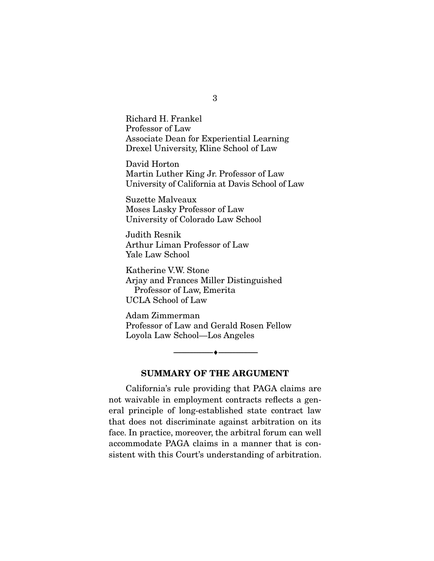Richard H. Frankel Professor of Law Associate Dean for Experiential Learning Drexel University, Kline School of Law

David Horton Martin Luther King Jr. Professor of Law University of California at Davis School of Law

Suzette Malveaux Moses Lasky Professor of Law University of Colorado Law School

Judith Resnik Arthur Liman Professor of Law Yale Law School

Katherine V.W. Stone Arjay and Frances Miller Distinguished Professor of Law, Emerita UCLA School of Law

Adam Zimmerman Professor of Law and Gerald Rosen Fellow Loyola Law School—Los Angeles

#### **SUMMARY OF THE ARGUMENT**

 $- \bullet -$ 

 California's rule providing that PAGA claims are not waivable in employment contracts reflects a general principle of long-established state contract law that does not discriminate against arbitration on its face. In practice, moreover, the arbitral forum can well accommodate PAGA claims in a manner that is consistent with this Court's understanding of arbitration.

3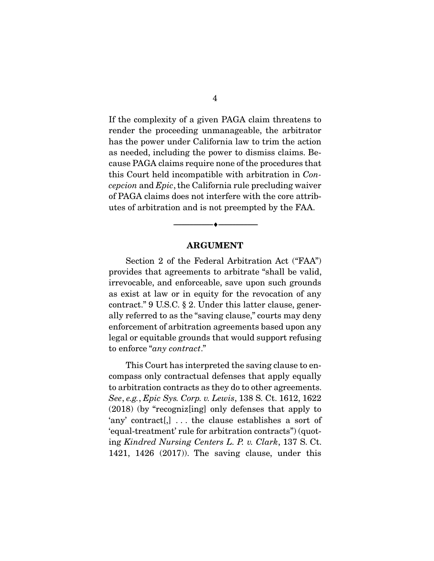If the complexity of a given PAGA claim threatens to render the proceeding unmanageable, the arbitrator has the power under California law to trim the action as needed, including the power to dismiss claims. Because PAGA claims require none of the procedures that this Court held incompatible with arbitration in Concepcion and Epic, the California rule precluding waiver of PAGA claims does not interfere with the core attributes of arbitration and is not preempted by the FAA.

#### **ARGUMENT**

 $\overbrace{\hspace{2.5cm}}^{\bullet}$   $\overbrace{\hspace{2.5cm}}^{\bullet}$ 

 Section 2 of the Federal Arbitration Act ("FAA") provides that agreements to arbitrate "shall be valid, irrevocable, and enforceable, save upon such grounds as exist at law or in equity for the revocation of any contract." 9 U.S.C. § 2. Under this latter clause, generally referred to as the "saving clause," courts may deny enforcement of arbitration agreements based upon any legal or equitable grounds that would support refusing to enforce "any contract."

 This Court has interpreted the saving clause to encompass only contractual defenses that apply equally to arbitration contracts as they do to other agreements. See, e.g., Epic Sys. Corp. v. Lewis, 138 S. Ct. 1612, 1622 (2018) (by "recogniz[ing] only defenses that apply to 'any' contract[,] . . . the clause establishes a sort of 'equal-treatment' rule for arbitration contracts") (quoting Kindred Nursing Centers L. P. v. Clark, 137 S. Ct. 1421, 1426 (2017)). The saving clause, under this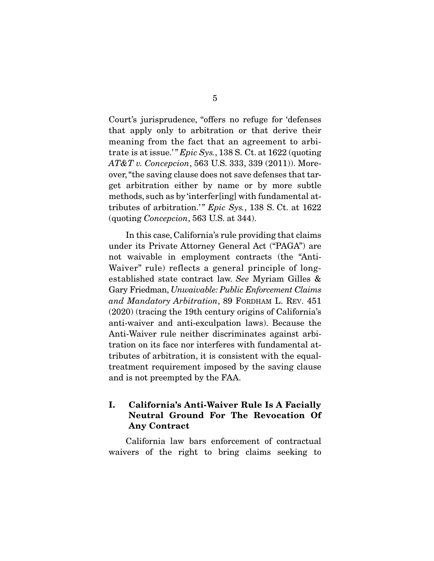Court's jurisprudence, "offers no refuge for 'defenses that apply only to arbitration or that derive their meaning from the fact that an agreement to arbitrate is at issue.'"  $Epic Sys.$ , 138 S. Ct. at 1622 (quoting  $AT&T$  v. Concepcion, 563 U.S. 333, 339 (2011)). Moreover, "the saving clause does not save defenses that target arbitration either by name or by more subtle methods, such as by 'interfer[ing] with fundamental attributes of arbitration.'"  $Epic Sys.$ , 138 S. Ct. at 1622 (quoting Concepcion, 563 U.S. at 344).

 In this case, California's rule providing that claims under its Private Attorney General Act ("PAGA") are not waivable in employment contracts (the "Anti-Waiver" rule) reflects a general principle of longestablished state contract law. See Myriam Gilles & Gary Friedman, Unwaivable: Public Enforcement Claims and Mandatory Arbitration, 89 FORDHAM L. REV. 451 (2020) (tracing the 19th century origins of California's anti-waiver and anti-exculpation laws). Because the Anti-Waiver rule neither discriminates against arbitration on its face nor interferes with fundamental attributes of arbitration, it is consistent with the equaltreatment requirement imposed by the saving clause and is not preempted by the FAA.

### **I. California's Anti-Waiver Rule Is A Facially Neutral Ground For The Revocation Of Any Contract**

 California law bars enforcement of contractual waivers of the right to bring claims seeking to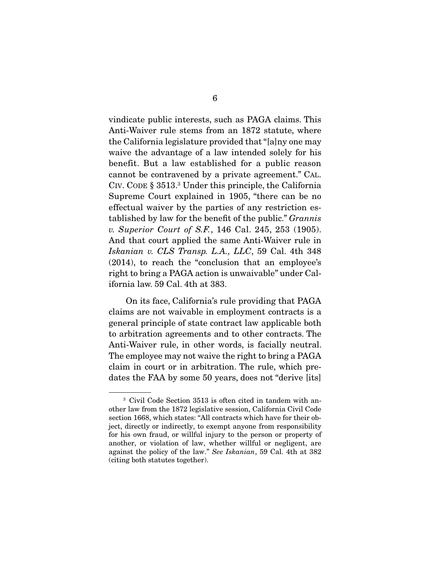vindicate public interests, such as PAGA claims. This Anti-Waiver rule stems from an 1872 statute, where the California legislature provided that "[a]ny one may waive the advantage of a law intended solely for his benefit. But a law established for a public reason cannot be contravened by a private agreement." CAL. CIV. CODE § 3513.3 Under this principle, the California Supreme Court explained in 1905, "there can be no effectual waiver by the parties of any restriction established by law for the benefit of the public." Grannis v. Superior Court of S.F., 146 Cal. 245, 253 (1905). And that court applied the same Anti-Waiver rule in Iskanian v. CLS Transp. L.A., LLC, 59 Cal. 4th 348 (2014), to reach the "conclusion that an employee's right to bring a PAGA action is unwaivable" under California law. 59 Cal. 4th at 383.

 On its face, California's rule providing that PAGA claims are not waivable in employment contracts is a general principle of state contract law applicable both to arbitration agreements and to other contracts. The Anti-Waiver rule, in other words, is facially neutral. The employee may not waive the right to bring a PAGA claim in court or in arbitration. The rule, which predates the FAA by some 50 years, does not "derive [its]

<sup>3</sup> Civil Code Section 3513 is often cited in tandem with another law from the 1872 legislative session, California Civil Code section 1668, which states: "All contracts which have for their object, directly or indirectly, to exempt anyone from responsibility for his own fraud, or willful injury to the person or property of another, or violation of law, whether willful or negligent, are against the policy of the law." See Iskanian, 59 Cal. 4th at 382 (citing both statutes together).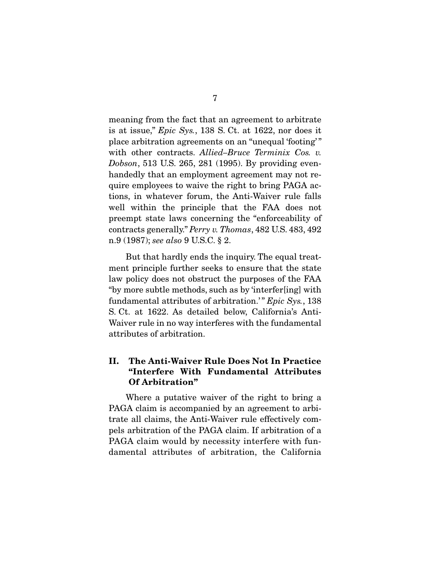meaning from the fact that an agreement to arbitrate is at issue," Epic Sys., 138 S. Ct. at 1622, nor does it place arbitration agreements on an "unequal 'footing' " with other contracts. Allied–Bruce Terminix Cos. v. Dobson, 513 U.S. 265, 281 (1995). By providing evenhandedly that an employment agreement may not require employees to waive the right to bring PAGA actions, in whatever forum, the Anti-Waiver rule falls well within the principle that the FAA does not preempt state laws concerning the "enforceability of contracts generally." Perry v. Thomas, 482 U.S. 483, 492 n.9 (1987); see also 9 U.S.C. § 2.

 But that hardly ends the inquiry. The equal treatment principle further seeks to ensure that the state law policy does not obstruct the purposes of the FAA "by more subtle methods, such as by 'interfer[ing] with fundamental attributes of arbitration.'"  $Epic Sys.$ , 138 S. Ct. at 1622. As detailed below, California's Anti-Waiver rule in no way interferes with the fundamental attributes of arbitration.

### **II. The Anti-Waiver Rule Does Not In Practice "Interfere With Fundamental Attributes Of Arbitration"**

 Where a putative waiver of the right to bring a PAGA claim is accompanied by an agreement to arbitrate all claims, the Anti-Waiver rule effectively compels arbitration of the PAGA claim. If arbitration of a PAGA claim would by necessity interfere with fundamental attributes of arbitration, the California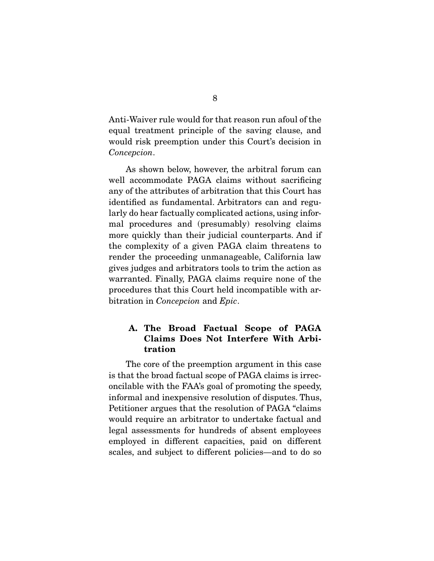Anti-Waiver rule would for that reason run afoul of the equal treatment principle of the saving clause, and would risk preemption under this Court's decision in Concepcion.

 As shown below, however, the arbitral forum can well accommodate PAGA claims without sacrificing any of the attributes of arbitration that this Court has identified as fundamental. Arbitrators can and regularly do hear factually complicated actions, using informal procedures and (presumably) resolving claims more quickly than their judicial counterparts. And if the complexity of a given PAGA claim threatens to render the proceeding unmanageable, California law gives judges and arbitrators tools to trim the action as warranted. Finally, PAGA claims require none of the procedures that this Court held incompatible with arbitration in Concepcion and Epic.

### **A. The Broad Factual Scope of PAGA Claims Does Not Interfere With Arbitration**

 The core of the preemption argument in this case is that the broad factual scope of PAGA claims is irreconcilable with the FAA's goal of promoting the speedy, informal and inexpensive resolution of disputes. Thus, Petitioner argues that the resolution of PAGA "claims would require an arbitrator to undertake factual and legal assessments for hundreds of absent employees employed in different capacities, paid on different scales, and subject to different policies—and to do so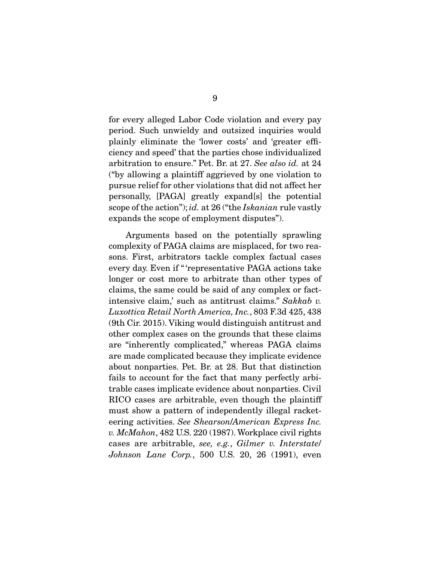for every alleged Labor Code violation and every pay period. Such unwieldy and outsized inquiries would plainly eliminate the 'lower costs' and 'greater efficiency and speed' that the parties chose individualized arbitration to ensure." Pet. Br. at 27. See also id. at 24 ("by allowing a plaintiff aggrieved by one violation to pursue relief for other violations that did not affect her personally, [PAGA] greatly expand[s] the potential scope of the action"); id. at 26 ("the Iskanian rule vastly expands the scope of employment disputes").

 Arguments based on the potentially sprawling complexity of PAGA claims are misplaced, for two reasons. First, arbitrators tackle complex factual cases every day. Even if " 'representative PAGA actions take longer or cost more to arbitrate than other types of claims, the same could be said of any complex or factintensive claim,' such as antitrust claims." Sakkab v. Luxottica Retail North America, Inc., 803 F.3d 425, 438 (9th Cir. 2015). Viking would distinguish antitrust and other complex cases on the grounds that these claims are "inherently complicated," whereas PAGA claims are made complicated because they implicate evidence about nonparties. Pet. Br. at 28. But that distinction fails to account for the fact that many perfectly arbitrable cases implicate evidence about nonparties. Civil RICO cases are arbitrable, even though the plaintiff must show a pattern of independently illegal racketeering activities. See Shearson/American Express Inc. v. McMahon, 482 U.S. 220 (1987). Workplace civil rights cases are arbitrable, see, e.g., Gilmer v. Interstate/ Johnson Lane Corp., 500 U.S. 20, 26 (1991), even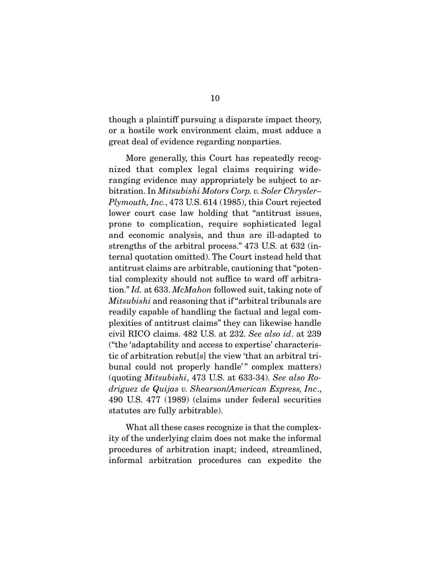though a plaintiff pursuing a disparate impact theory, or a hostile work environment claim, must adduce a great deal of evidence regarding nonparties.

 More generally, this Court has repeatedly recognized that complex legal claims requiring wideranging evidence may appropriately be subject to arbitration. In Mitsubishi Motors Corp. v. Soler Chrysler– Plymouth, Inc., 473 U.S. 614 (1985), this Court rejected lower court case law holding that "antitrust issues, prone to complication, require sophisticated legal and economic analysis, and thus are ill-adapted to strengths of the arbitral process." 473 U.S. at 632 (internal quotation omitted). The Court instead held that antitrust claims are arbitrable, cautioning that "potential complexity should not suffice to ward off arbitration." Id. at 633. McMahon followed suit, taking note of Mitsubishi and reasoning that if "arbitral tribunals are readily capable of handling the factual and legal complexities of antitrust claims" they can likewise handle civil RICO claims. 482 U.S. at 232. See also id. at 239 ("the 'adaptability and access to expertise' characteristic of arbitration rebut[s] the view 'that an arbitral tribunal could not properly handle'" complex matters) (quoting Mitsubishi, 473 U.S. at 633-34). See also Rodriguez de Quijas v. Shearson/American Express, Inc., 490 U.S. 477 (1989) (claims under federal securities statutes are fully arbitrable).

 What all these cases recognize is that the complexity of the underlying claim does not make the informal procedures of arbitration inapt; indeed, streamlined, informal arbitration procedures can expedite the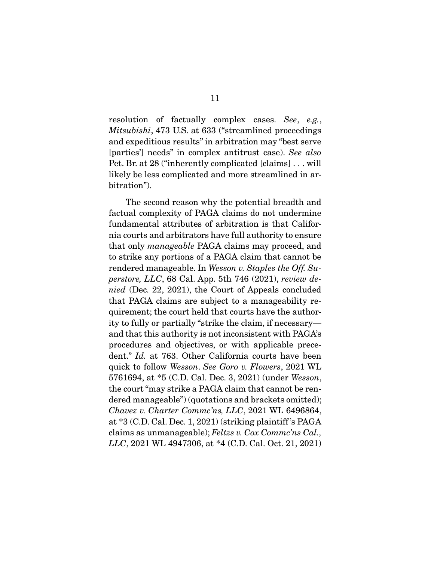resolution of factually complex cases. See, e.g., Mitsubishi, 473 U.S. at 633 ("streamlined proceedings and expeditious results" in arbitration may "best serve [parties'] needs" in complex antitrust case). See also Pet. Br. at 28 ("inherently complicated [claims] . . . will likely be less complicated and more streamlined in arbitration").

 The second reason why the potential breadth and factual complexity of PAGA claims do not undermine fundamental attributes of arbitration is that California courts and arbitrators have full authority to ensure that only manageable PAGA claims may proceed, and to strike any portions of a PAGA claim that cannot be rendered manageable. In Wesson v. Staples the Off. Superstore, LLC, 68 Cal. App. 5th 746 (2021), review denied (Dec. 22, 2021), the Court of Appeals concluded that PAGA claims are subject to a manageability requirement; the court held that courts have the authority to fully or partially "strike the claim, if necessary and that this authority is not inconsistent with PAGA's procedures and objectives, or with applicable precedent." Id. at 763. Other California courts have been quick to follow Wesson. See Goro v. Flowers, 2021 WL 5761694, at \*5 (C.D. Cal. Dec. 3, 2021) (under Wesson, the court "may strike a PAGA claim that cannot be rendered manageable") (quotations and brackets omitted); Chavez v. Charter Commc'ns, LLC, 2021 WL 6496864, at \*3 (C.D. Cal. Dec. 1, 2021) (striking plaintiff 's PAGA claims as unmanageable); Feltzs v. Cox Commc'ns Cal., LLC, 2021 WL 4947306, at \*4 (C.D. Cal. Oct. 21, 2021)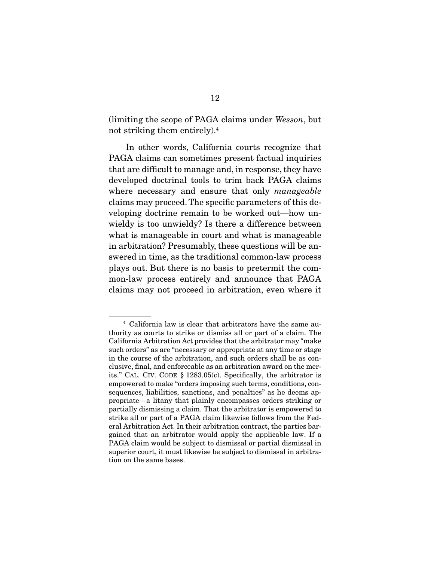(limiting the scope of PAGA claims under Wesson, but not striking them entirely).4

 In other words, California courts recognize that PAGA claims can sometimes present factual inquiries that are difficult to manage and, in response, they have developed doctrinal tools to trim back PAGA claims where necessary and ensure that only manageable claims may proceed. The specific parameters of this developing doctrine remain to be worked out—how unwieldy is too unwieldy? Is there a difference between what is manageable in court and what is manageable in arbitration? Presumably, these questions will be answered in time, as the traditional common-law process plays out. But there is no basis to pretermit the common-law process entirely and announce that PAGA claims may not proceed in arbitration, even where it

<sup>4</sup> California law is clear that arbitrators have the same authority as courts to strike or dismiss all or part of a claim. The California Arbitration Act provides that the arbitrator may "make such orders" as are "necessary or appropriate at any time or stage in the course of the arbitration, and such orders shall be as conclusive, final, and enforceable as an arbitration award on the merits." CAL. CIV. CODE § 1283.05(c). Specifically, the arbitrator is empowered to make "orders imposing such terms, conditions, consequences, liabilities, sanctions, and penalties" as he deems appropriate—a litany that plainly encompasses orders striking or partially dismissing a claim. That the arbitrator is empowered to strike all or part of a PAGA claim likewise follows from the Federal Arbitration Act. In their arbitration contract, the parties bargained that an arbitrator would apply the applicable law. If a PAGA claim would be subject to dismissal or partial dismissal in superior court, it must likewise be subject to dismissal in arbitration on the same bases.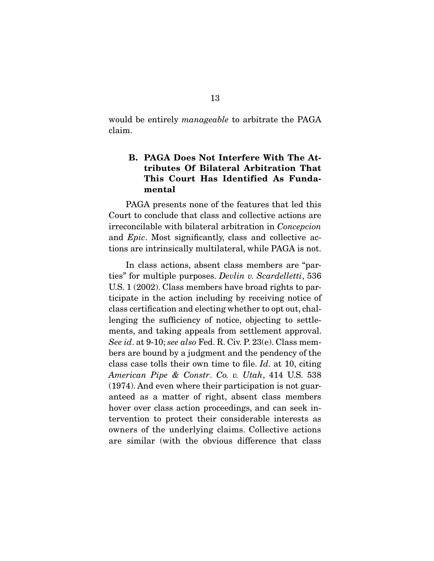would be entirely *manageable* to arbitrate the PAGA claim.

### **B. PAGA Does Not Interfere With The Attributes Of Bilateral Arbitration That This Court Has Identified As Fundamental**

 PAGA presents none of the features that led this Court to conclude that class and collective actions are irreconcilable with bilateral arbitration in Concepcion and Epic. Most significantly, class and collective actions are intrinsically multilateral, while PAGA is not.

 In class actions, absent class members are "parties" for multiple purposes. Devlin v. Scardelletti, 536 U.S. 1 (2002). Class members have broad rights to participate in the action including by receiving notice of class certification and electing whether to opt out, challenging the sufficiency of notice, objecting to settlements, and taking appeals from settlement approval. See id. at 9-10; see also Fed. R. Civ. P. 23(e). Class members are bound by a judgment and the pendency of the class case tolls their own time to file. Id. at 10, citing American Pipe & Constr. Co. v. Utah, 414 U.S. 538 (1974). And even where their participation is not guaranteed as a matter of right, absent class members hover over class action proceedings, and can seek intervention to protect their considerable interests as owners of the underlying claims. Collective actions are similar (with the obvious difference that class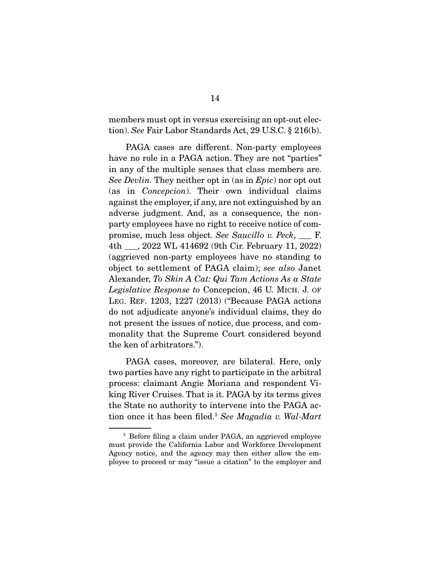members must opt in versus exercising an opt-out election). See Fair Labor Standards Act, 29 U.S.C. § 216(b).

 PAGA cases are different. Non-party employees have no role in a PAGA action. They are not "parties" in any of the multiple senses that class members are. See Devlin. They neither opt in (as in Epic) nor opt out (as in Concepcion). Their own individual claims against the employer, if any, are not extinguished by an adverse judgment. And, as a consequence, the nonparty employees have no right to receive notice of compromise, much less object. See Saucillo v. Peck, \_\_\_ F. 4th \_\_\_, 2022 WL 414692 (9th Cir. February 11, 2022) (aggrieved non-party employees have no standing to object to settlement of PAGA claim); see also Janet Alexander, To Skin A Cat: Qui Tam Actions As a State Legislative Response to Concepcion, 46 U. MICH. J. OF LEG. REF. 1203, 1227 (2013) ("Because PAGA actions do not adjudicate anyone's individual claims, they do not present the issues of notice, due process, and commonality that the Supreme Court considered beyond the ken of arbitrators.").

 PAGA cases, moreover, are bilateral. Here, only two parties have any right to participate in the arbitral process: claimant Angie Moriana and respondent Viking River Cruises. That is it. PAGA by its terms gives the State no authority to intervene into the PAGA action once it has been filed.<sup>5</sup> See Magadia v. Wal-Mart

<sup>&</sup>lt;sup>5</sup> Before filing a claim under PAGA, an aggrieved employee must provide the California Labor and Workforce Development Agency notice, and the agency may then either allow the employee to proceed or may "issue a citation" to the employer and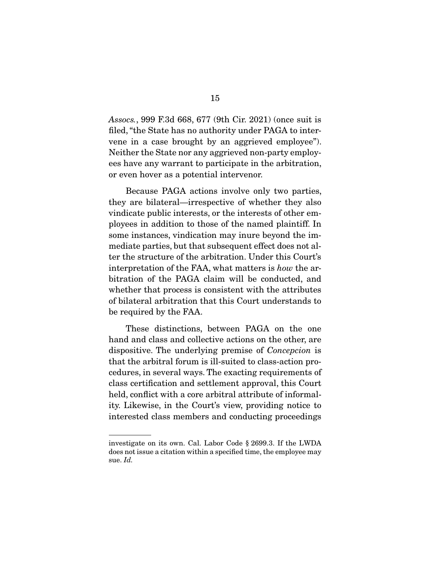Assocs., 999 F.3d 668, 677 (9th Cir. 2021) (once suit is filed, "the State has no authority under PAGA to intervene in a case brought by an aggrieved employee"). Neither the State nor any aggrieved non-party employees have any warrant to participate in the arbitration, or even hover as a potential intervenor.

 Because PAGA actions involve only two parties, they are bilateral—irrespective of whether they also vindicate public interests, or the interests of other employees in addition to those of the named plaintiff. In some instances, vindication may inure beyond the immediate parties, but that subsequent effect does not alter the structure of the arbitration. Under this Court's interpretation of the FAA, what matters is how the arbitration of the PAGA claim will be conducted, and whether that process is consistent with the attributes of bilateral arbitration that this Court understands to be required by the FAA.

 These distinctions, between PAGA on the one hand and class and collective actions on the other, are dispositive. The underlying premise of Concepcion is that the arbitral forum is ill-suited to class-action procedures, in several ways. The exacting requirements of class certification and settlement approval, this Court held, conflict with a core arbitral attribute of informality. Likewise, in the Court's view, providing notice to interested class members and conducting proceedings

investigate on its own. Cal. Labor Code § 2699.3. If the LWDA does not issue a citation within a specified time, the employee may sue. Id.